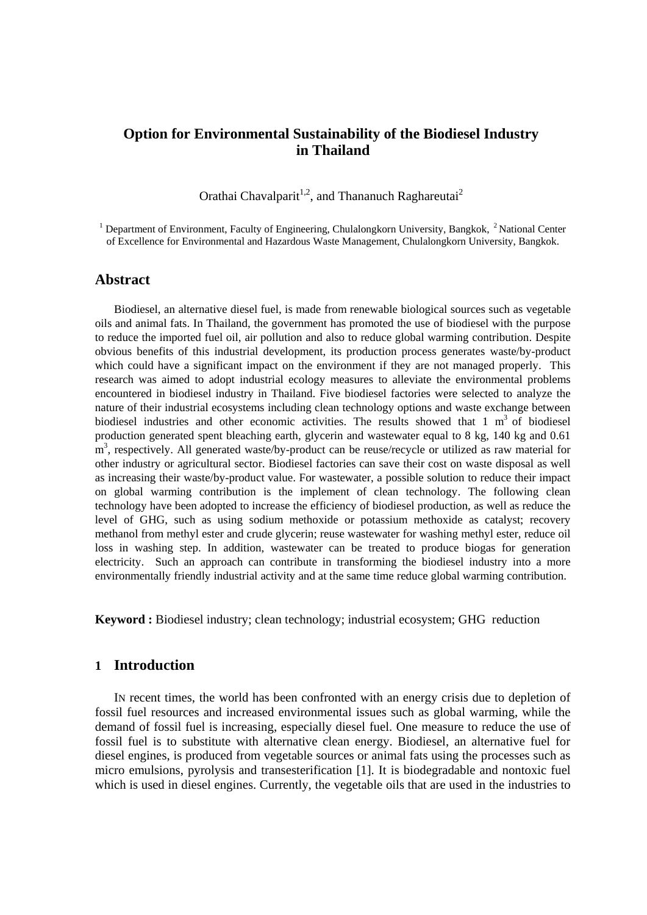# **Option for Environmental Sustainability of the Biodiesel Industry in Thailand**

Orathai Chavalparit<sup>1,2</sup>, and Thananuch Raghareutai<sup>2</sup>

<sup>1</sup> Department of Environment, Faculty of Engineering, Chulalongkorn University, Bangkok, <sup>2</sup> National Center of Excellence for Environmental and Hazardous Waste Management, Chulalongkorn University, Bangkok.

### **Abstract**

Biodiesel, an alternative diesel fuel, is made from renewable biological sources such as vegetable oils and animal fats. In Thailand, the government has promoted the use of biodiesel with the purpose to reduce the imported fuel oil, air pollution and also to reduce global warming contribution. Despite obvious benefits of this industrial development, its production process generates waste/by-product which could have a significant impact on the environment if they are not managed properly. This research was aimed to adopt industrial ecology measures to alleviate the environmental problems encountered in biodiesel industry in Thailand. Five biodiesel factories were selected to analyze the nature of their industrial ecosystems including clean technology options and waste exchange between biodiesel industries and other economic activities. The results showed that  $1 \text{ m}^3$  of biodiesel production generated spent bleaching earth, glycerin and wastewater equal to 8 kg, 140 kg and 0.61 m<sup>3</sup>, respectively. All generated waste/by-product can be reuse/recycle or utilized as raw material for other industry or agricultural sector. Biodiesel factories can save their cost on waste disposal as well as increasing their waste/by-product value. For wastewater, a possible solution to reduce their impact on global warming contribution is the implement of clean technology. The following clean technology have been adopted to increase the efficiency of biodiesel production, as well as reduce the level of GHG, such as using sodium methoxide or potassium methoxide as catalyst; recovery methanol from methyl ester and crude glycerin; reuse wastewater for washing methyl ester, reduce oil loss in washing step. In addition, wastewater can be treated to produce biogas for generation electricity. Such an approach can contribute in transforming the biodiesel industry into a more environmentally friendly industrial activity and at the same time reduce global warming contribution.

**Keyword :** Biodiesel industry; clean technology; industrial ecosystem; GHG reduction

### **1 Introduction**

IN recent times, the world has been confronted with an energy crisis due to depletion of fossil fuel resources and increased environmental issues such as global warming, while the demand of fossil fuel is increasing, especially diesel fuel. One measure to reduce the use of fossil fuel is to substitute with alternative clean energy. Biodiesel, an alternative fuel for diesel engines, is produced from vegetable sources or animal fats using the processes such as micro emulsions, pyrolysis and transesterification [1]. It is biodegradable and nontoxic fuel which is used in diesel engines. Currently, the vegetable oils that are used in the industries to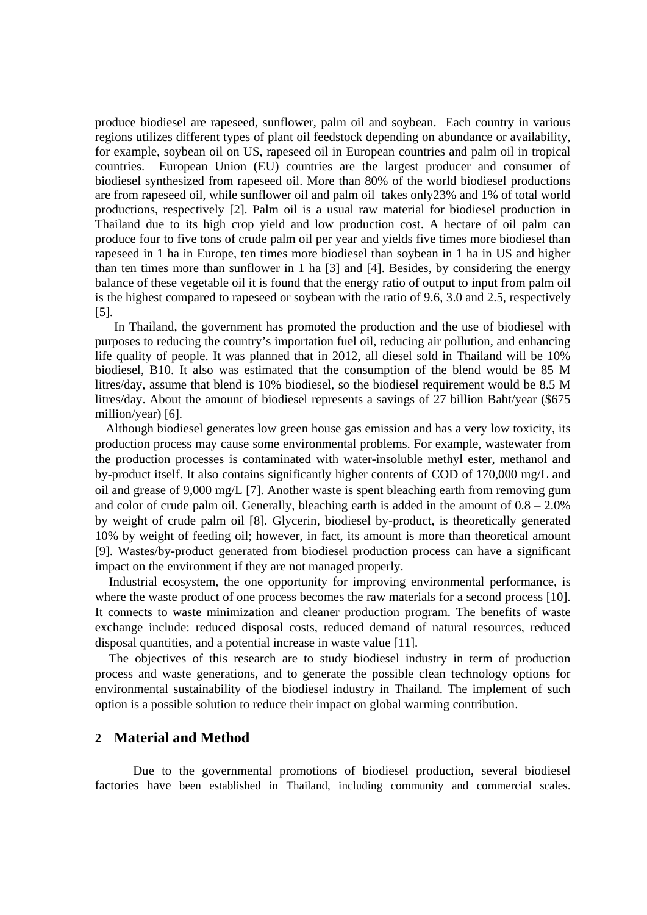produce biodiesel are rapeseed, sunflower, palm oil and soybean. Each country in various regions utilizes different types of plant oil feedstock depending on abundance or availability, for example, soybean oil on US, rapeseed oil in European countries and palm oil in tropical countries. European Union (EU) countries are the largest producer and consumer of biodiesel synthesized from rapeseed oil. More than 80% of the world biodiesel productions are from rapeseed oil, while sunflower oil and palm oil takes only23% and 1% of total world productions, respectively [2]. Palm oil is a usual raw material for biodiesel production in Thailand due to its high crop yield and low production cost. A hectare of oil palm can produce four to five tons of crude palm oil per year and yields five times more biodiesel than rapeseed in 1 ha in Europe, ten times more biodiesel than soybean in 1 ha in US and higher than ten times more than sunflower in 1 ha [3] and [4]. Besides, by considering the energy balance of these vegetable oil it is found that the energy ratio of output to input from palm oil is the highest compared to rapeseed or soybean with the ratio of 9.6, 3.0 and 2.5, respectively [5].

In Thailand, the government has promoted the production and the use of biodiesel with purposes to reducing the country's importation fuel oil, reducing air pollution, and enhancing life quality of people. It was planned that in 2012, all diesel sold in Thailand will be 10% biodiesel, B10. It also was estimated that the consumption of the blend would be 85 M litres/day, assume that blend is 10% biodiesel, so the biodiesel requirement would be 8.5 M litres/day. About the amount of biodiesel represents a savings of 27 billion Baht/year (\$675 million/year) [6].

Although biodiesel generates low green house gas emission and has a very low toxicity, its production process may cause some environmental problems. For example, wastewater from the production processes is contaminated with water-insoluble methyl ester, methanol and by-product itself. It also contains significantly higher contents of COD of 170,000 mg/L and oil and grease of 9,000 mg/L [7]. Another waste is spent bleaching earth from removing gum and color of crude palm oil. Generally, bleaching earth is added in the amount of  $0.8 - 2.0\%$ by weight of crude palm oil [8]. Glycerin, biodiesel by-product, is theoretically generated 10% by weight of feeding oil; however, in fact, its amount is more than theoretical amount [9]. Wastes/by-product generated from biodiesel production process can have a significant impact on the environment if they are not managed properly.

 Industrial ecosystem, the one opportunity for improving environmental performance, is where the waste product of one process becomes the raw materials for a second process [10]. It connects to waste minimization and cleaner production program. The benefits of waste exchange include: reduced disposal costs, reduced demand of natural resources, reduced disposal quantities, and a potential increase in waste value [11].

 The objectives of this research are to study biodiesel industry in term of production process and waste generations, and to generate the possible clean technology options for environmental sustainability of the biodiesel industry in Thailand. The implement of such option is a possible solution to reduce their impact on global warming contribution.

### **2 Material and Method**

Due to the governmental promotions of biodiesel production, several biodiesel factories have been established in Thailand, including community and commercial scales.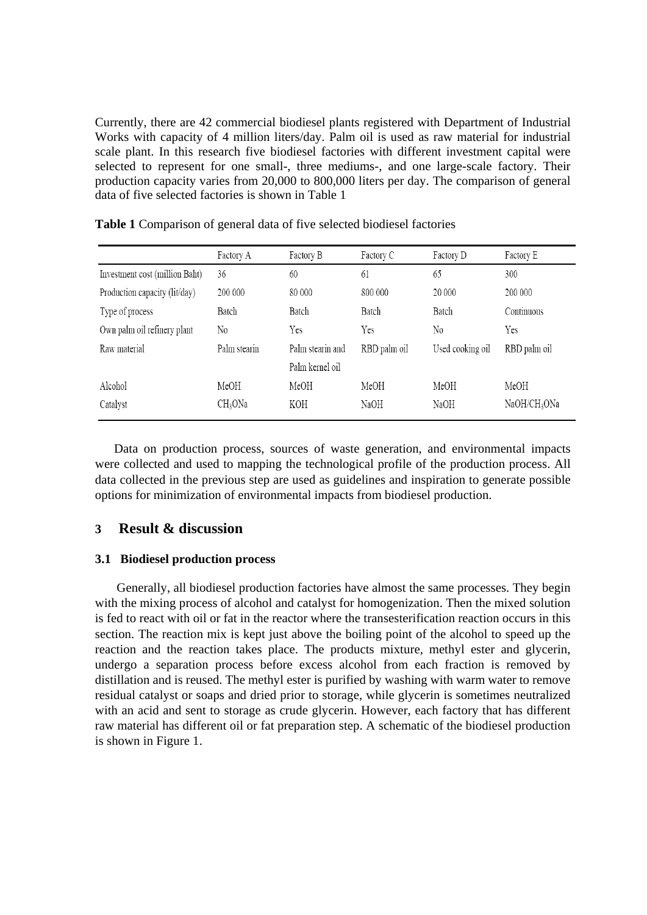Currently, there are 42 commercial biodiesel plants registered with Department of Industrial Works with capacity of 4 million liters/day. Palm oil is used as raw material for industrial scale plant. In this research five biodiesel factories with different investment capital were selected to represent for one small-, three mediums-, and one large-scale factory. Their production capacity varies from 20,000 to 800,000 liters per day. The comparison of general data of five selected factories is shown in Table 1

|                                | Factory A           | Factory B        | Factory C    | Factory D        | Factory E                |
|--------------------------------|---------------------|------------------|--------------|------------------|--------------------------|
| Investment cost (million Baht) | 36                  | 60               | 61           | 65               | 300                      |
| Production capacity (lit/day)  | 200 000             | 80 000           | 800 000      | 20 000           | 200 000                  |
| Type of process                | Batch               | Batch            | Batch        | Batch            | Continuous               |
| Own palm oil refinery plant    | No                  | Yes              | Yes          | No               | Yes                      |
| Raw material                   | Palm stearin        | Palm stearin and | RBD palm oil | Used cooking oil | RBD palm oil             |
|                                |                     | Palm kernel oil  |              |                  |                          |
| Alcohol                        | MeOH                | MeOH             | MeOH         | MeOH             | MeOH                     |
| Catalyst                       | CH <sub>3</sub> ONa | KOH              | NaOH         | NaOH             | NaOH/CH <sub>3</sub> ONa |

**Table 1** Comparison of general data of five selected biodiesel factories

Data on production process, sources of waste generation, and environmental impacts were collected and used to mapping the technological profile of the production process. All data collected in the previous step are used as guidelines and inspiration to generate possible options for minimization of environmental impacts from biodiesel production.

## **3 Result & discussion**

### **3.1 Biodiesel production process**

Generally, all biodiesel production factories have almost the same processes. They begin with the mixing process of alcohol and catalyst for homogenization. Then the mixed solution is fed to react with oil or fat in the reactor where the transesterification reaction occurs in this section. The reaction mix is kept just above the boiling point of the alcohol to speed up the reaction and the reaction takes place. The products mixture, methyl ester and glycerin, undergo a separation process before excess alcohol from each fraction is removed by distillation and is reused. The methyl ester is purified by washing with warm water to remove residual catalyst or soaps and dried prior to storage, while glycerin is sometimes neutralized with an acid and sent to storage as crude glycerin. However, each factory that has different raw material has different oil or fat preparation step. A schematic of the biodiesel production is shown in Figure 1.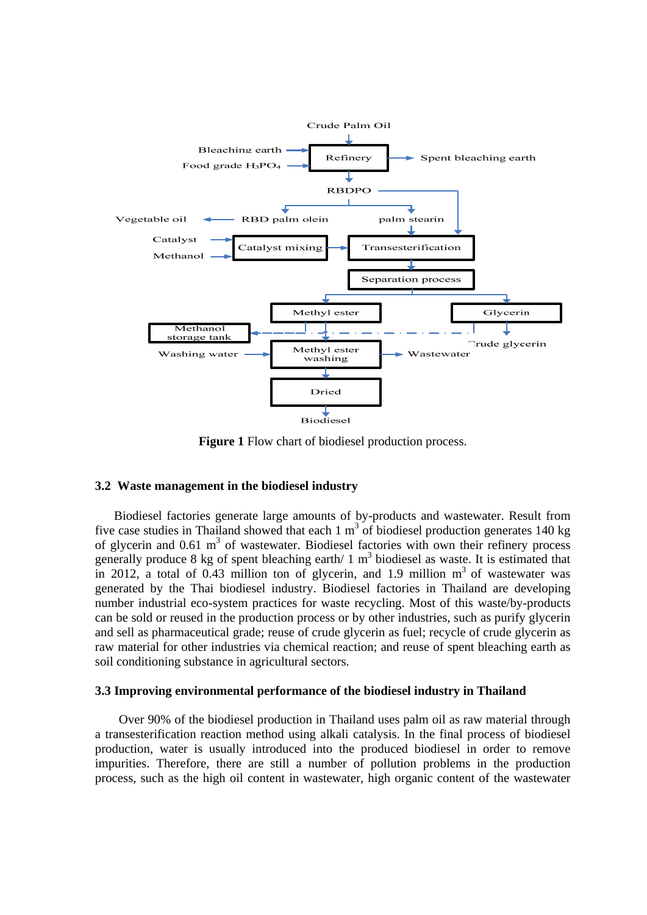

**Figure 1** Flow chart of biodiesel production process.

### **3.2 Waste management in the biodiesel industry**

Biodiesel factories generate large amounts of by-products and wastewater. Result from five case studies in Thailand showed that each  $1 \text{ m}^3$  of biodiesel production generates 140 kg of glycerin and  $0.61 \text{ m}^3$  of wastewater. Biodiesel factories with own their refinery process generally produce 8 kg of spent bleaching earth/  $1 \text{ m}^3$  biodiesel as waste. It is estimated that in 2012, a total of 0.43 million ton of glycerin, and 1.9 million  $m<sup>3</sup>$  of wastewater was generated by the Thai biodiesel industry. Biodiesel factories in Thailand are developing number industrial eco-system practices for waste recycling. Most of this waste/by-products can be sold or reused in the production process or by other industries, such as purify glycerin and sell as pharmaceutical grade; reuse of crude glycerin as fuel; recycle of crude glycerin as raw material for other industries via chemical reaction; and reuse of spent bleaching earth as soil conditioning substance in agricultural sectors.

#### **3.3 Improving environmental performance of the biodiesel industry in Thailand**

Over 90% of the biodiesel production in Thailand uses palm oil as raw material through a transesterification reaction method using alkali catalysis. In the final process of biodiesel production, water is usually introduced into the produced biodiesel in order to remove impurities. Therefore, there are still a number of pollution problems in the production process, such as the high oil content in wastewater, high organic content of the wastewater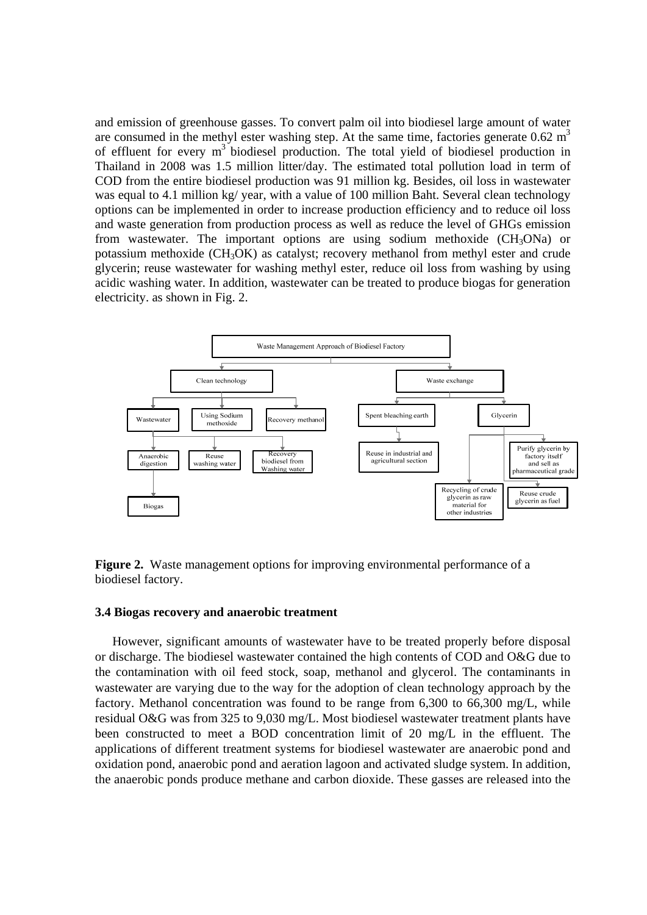and emission of greenhouse gasses. To convert palm oil into biodiesel large amount of water are consumed in the methyl ester washing step. At the same time, factories generate  $0.62 \text{ m}^3$ of effluent for every  $m<sup>3</sup>$  biodiesel production. The total yield of biodiesel production in Thailand in 2008 was 1.5 million litter/day. The estimated total pollution load in term of COD from the entire biodiesel production was 91 million kg. Besides, oil loss in wastewater was equal to 4.1 million kg/ year, with a value of 100 million Baht. Several clean technology options can be implemented in order to increase production efficiency and to reduce oil loss and waste generation from production process as well as reduce the level of GHGs emission from wastewater. The important options are using sodium methoxide  $(CH_3ONa)$  or potassium methoxide (CH3OK) as catalyst; recovery methanol from methyl ester and crude glycerin; reuse wastewater for washing methyl ester, reduce oil loss from washing by using acidic washing water. In addition, wastewater can be treated to produce biogas for generation electricity. as shown in Fig. 2.



**Figure 2.** Waste management options for improving environmental performance of a biodiesel factory.

#### **3.4 Biogas recovery and anaerobic treatment**

However, significant amounts of wastewater have to be treated properly before disposal or discharge. The biodiesel wastewater contained the high contents of COD and O&G due to the contamination with oil feed stock, soap, methanol and glycerol. The contaminants in wastewater are varying due to the way for the adoption of clean technology approach by the factory. Methanol concentration was found to be range from 6,300 to 66,300 mg/L, while residual O&G was from 325 to 9,030 mg/L. Most biodiesel wastewater treatment plants have been constructed to meet a BOD concentration limit of 20 mg/L in the effluent. The applications of different treatment systems for biodiesel wastewater are anaerobic pond and oxidation pond, anaerobic pond and aeration lagoon and activated sludge system. In addition, the anaerobic ponds produce methane and carbon dioxide. These gasses are released into the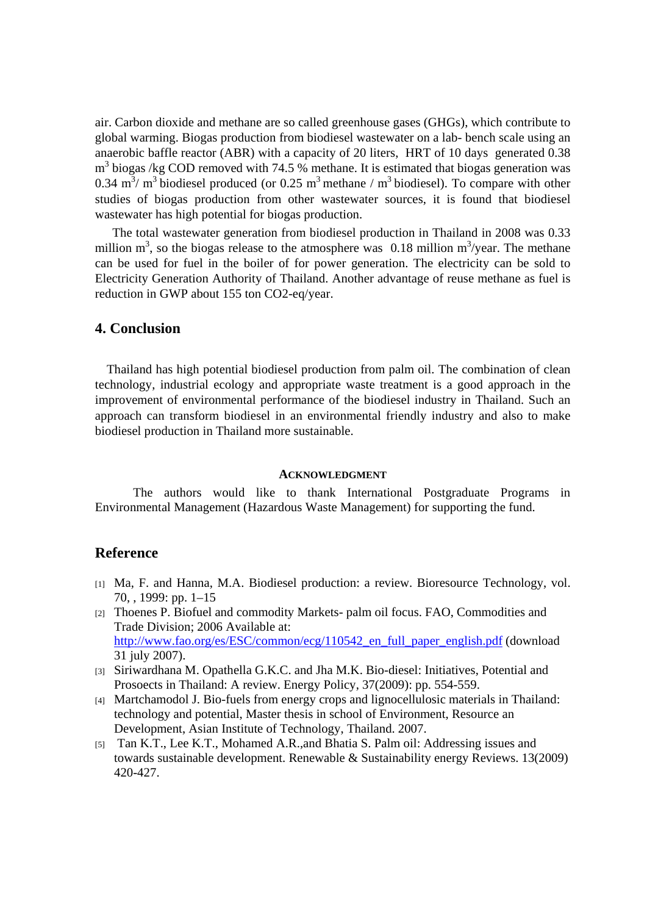air. Carbon dioxide and methane are so called greenhouse gases (GHGs), which contribute to global warming. Biogas production from biodiesel wastewater on a lab- bench scale using an anaerobic baffle reactor (ABR) with a capacity of 20 liters, HRT of 10 days generated 0.38  $m<sup>3</sup>$  biogas /kg COD removed with 74.5 % methane. It is estimated that biogas generation was 0.34 m<sup>3</sup>/ m<sup>3</sup> biodiesel produced (or 0.25 m<sup>3</sup> methane / m<sup>3</sup> biodiesel). To compare with other studies of biogas production from other wastewater sources, it is found that biodiesel wastewater has high potential for biogas production.

The total wastewater generation from biodiesel production in Thailand in 2008 was 0.33 million  $m^3$ , so the biogas release to the atmosphere was 0.18 million  $m^3$ /year. The methane can be used for fuel in the boiler of for power generation. The electricity can be sold to Electricity Generation Authority of Thailand. Another advantage of reuse methane as fuel is reduction in GWP about 155 ton CO2-eq/year.

## **4. Conclusion**

Thailand has high potential biodiesel production from palm oil. The combination of clean technology, industrial ecology and appropriate waste treatment is a good approach in the improvement of environmental performance of the biodiesel industry in Thailand. Such an approach can transform biodiesel in an environmental friendly industry and also to make biodiesel production in Thailand more sustainable.

#### **ACKNOWLEDGMENT**

 The authors would like to thank International Postgraduate Programs in Environmental Management (Hazardous Waste Management) for supporting the fund.

## **Reference**

- [1] Ma, F. and Hanna, M.A. Biodiesel production: a review. Bioresource Technology, vol. 70, , 1999: pp. 1–15
- [2] Thoenes P. Biofuel and commodity Markets- palm oil focus. FAO, Commodities and Trade Division; 2006 Available at: http://www.fao.org/es/ESC/common/ecg/110542\_en\_full\_paper\_english.pdf (download 31 july 2007).
- [3] Siriwardhana M. Opathella G.K.C. and Jha M.K. Bio-diesel: Initiatives, Potential and Prosoects in Thailand: A review. Energy Policy, 37(2009): pp. 554-559.
- [4] Martchamodol J. Bio-fuels from energy crops and lignocellulosic materials in Thailand: technology and potential, Master thesis in school of Environment, Resource an Development, Asian Institute of Technology, Thailand. 2007.
- [5] Tan K.T., Lee K.T., Mohamed A.R.,and Bhatia S. Palm oil: Addressing issues and towards sustainable development. Renewable & Sustainability energy Reviews. 13(2009) 420-427.